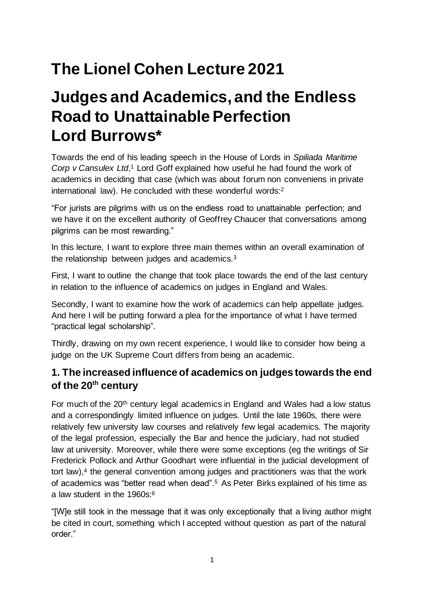# **The Lionel Cohen Lecture 2021**

## **Judges and Academics, and the Endless Road to Unattainable Perfection Lord Burrows\***

 Towards the end of his leading speech in the House of Lords in *Spiliada Maritime Corp v Cansulex Ltd*,<sup>1</sup> Lord Goff explained how useful he had found the work of academics in deciding that case (which was about forum non conveniens in private international law). He concluded with these wonderful [words:2](#page-1-0) 

 "For jurists are pilgrims with us on the endless road to unattainable perfection; and we have it on the excellent authority of Geoffrey Chaucer that conversations among pilgrims can be most rewarding."

 In this lecture, I want to explore three main themes within an overall examination of the relationship between judges and academics.<sup>3</sup>

 First, I want to outline the change that took place towards the end of the last century in relation to the influence of academics on judges in England and Wales.

 Secondly, I want to examine how the work of academics can help appellate judges. And here I will be putting forward a plea for the importance of what I have termed "practical legal scholarship".

 Thirdly, drawing on my own recent experience, I would like to consider how being a judge on the UK Supreme Court differs from being an academic.

## **1. The increased influence of academics on judges towards the end**  of the 20<sup>th</sup> century

 For much of the 20th century legal academics in England and Wales had a low status and a correspondingly limited influence on judges. Until the late 1960s, there were relatively few university law courses and relatively few legal academics. The majority of the legal profession, especially the Bar and hence the judiciary, had not studied law at university. Moreover, while there were some exceptions (eg the writings of Sir Frederick Pollock and Arthur Goodhart were influential in the judicial development of tort law),<sup>4</sup> the general convention among judges and practitioners was that the work of academics was "better read when dead".5 As Peter Birks explained of his time as a law student in the 1960s:<sup>6</sup>

 "[W]e still took in the message that it was only exceptionally that a living author might be cited in court, something which I accepted without question as part of the natural order."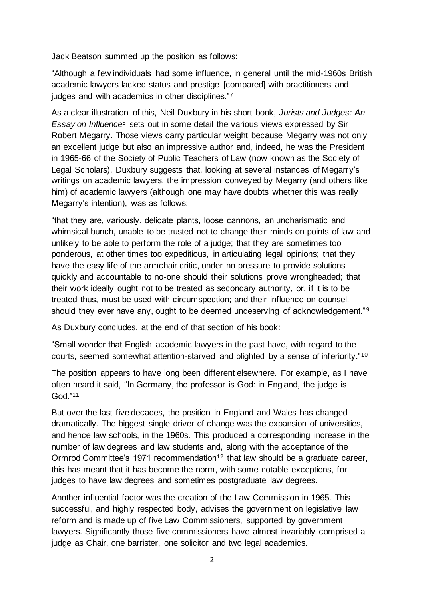<span id="page-1-0"></span>Jack Beatson summed up the position as follows:

 "Although a few individuals had some influence, in general until the mid-1960s British academic lawyers lacked status and prestige [compared] with practitioners and judges and with academics in other disciplines."7

 As a clear illustration of this, Neil Duxbury in his short book, *Jurists and Judges: An Essay on Influence*8 sets out in some detail the various views expressed by Sir Robert Megarry. Those views carry particular weight because Megarry was not only an excellent judge but also an impressive author and, indeed, he was the President in 1965-66 of the Society of Public Teachers of Law (now known as the Society of Legal Scholars). Duxbury suggests that, looking at several instances of Megarry's writings on academic lawyers, the impression conveyed by Megarry (and others like him) of academic lawyers (although one may have doubts whether this was really Megarry's intention), was as follows:

 "that they are, variously, delicate plants, loose cannons, an uncharismatic and whimsical bunch, unable to be trusted not to change their minds on points of law and unlikely to be able to perform the role of a judge; that they are sometimes too ponderous, at other times too expeditious, in articulating legal opinions; that they have the easy life of the armchair critic, under no pressure to provide solutions quickly and accountable to no-one should their solutions prove wrongheaded; that their work ideally ought not to be treated as secondary authority, or, if it is to be treated thus, must be used with circumspection; and their influence on counsel, should they ever have any, ought to be deemed undeserving of acknowledgement."<sup>9</sup>

As Duxbury concludes, at the end of that section of his book:

 "Small wonder that English academic lawyers in the past have, with regard to the courts, seemed somewhat attention-starved and blighted by a sense of inferiority."10

 The position appears to have long been different elsewhere. For example, as I have often heard it said, "In Germany, the professor is God: in England, the judge is God."11

 But over the last five decades, the position in England and Wales has changed dramatically. The biggest single driver of change was the expansion of universities, and hence law schools, in the 1960s. This produced a corresponding increase in the number of law degrees and law students and, along with the acceptance of the Ormrod Committee's 1971 recommendation<sup>12</sup> that law should be a graduate career, this has meant that it has become the norm, with some notable exceptions, for judges to have law degrees and sometimes postgraduate law degrees.

 Another influential factor was the creation of the Law Commission in 1965. This successful, and highly respected body, advises the government on legislative law reform and is made up of five Law Commissioners, supported by government lawyers. Significantly those five commissioners have almost invariably comprised a judge as Chair, one barrister, one solicitor and two legal academics.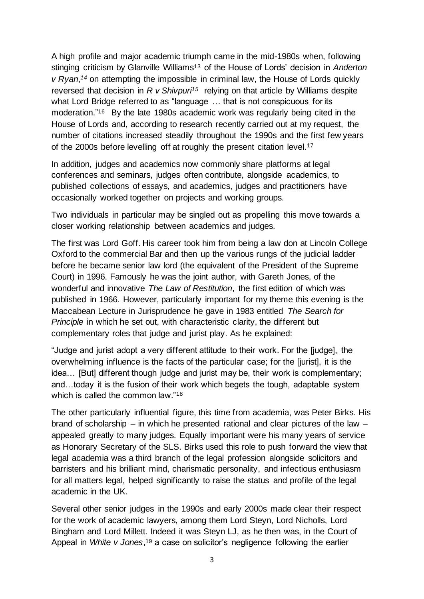A high profile and major academic triumph came in the mid-1980s when, following stinging criticism by Glanville Williams13 of the House of Lords' decision in *Anderton v Ryan*,<sup>14</sup> on attempting the impossible in criminal law, the House of Lords quickly reversed that decision in *R v Shivpuri15* relying on that article by Williams despite what Lord Bridge referred to as "language … that is not conspicuous for its moderation."16 By the late 1980s academic work was regularly being cited in the House of Lords and, according to research recently carried out at my request, the number of citations increased steadily throughout the 1990s and the first few years of the 2000s before levelling off at roughly the present citation level.<sup>17</sup>

 In addition, judges and academics now commonly share platforms at legal conferences and seminars, judges often contribute, alongside academics, to published collections of essays, and academics, judges and practitioners have occasionally worked together on projects and working groups.

 Two individuals in particular may be singled out as propelling this move towards a closer working relationship between academics and judges.

 The first was Lord Goff. His career took him from being a law don at Lincoln College Oxford to the commercial Bar and then up the various rungs of the judicial ladder before he became senior law lord (the equivalent of the President of the Supreme Court) in 1996. Famously he was the joint author, with Gareth Jones, of the  wonderful and innovative *The Law of Restitution*, the first edition of which was published in 1966. However, particularly important for my theme this evening is the Maccabean Lecture in Jurisprudence he gave in 1983 entitled *The Search for Principle* in which he set out, with characteristic clarity, the different but complementary roles that judge and jurist play. As he explained:

 "Judge and jurist adopt a very different attitude to their work. For the [judge], the overwhelming influence is the facts of the particular case; for the [jurist], it is the idea… [But] different though judge and jurist may be, their work is complementary; and…today it is the fusion of their work which begets the tough, adaptable system which is called the common law."<sup>18</sup>

 The other particularly influential figure, this time from academia, was Peter Birks. His brand of scholarship – in which he presented rational and clear pictures of the law – appealed greatly to many judges. Equally important were his many years of service as Honorary Secretary of the SLS. Birks used this role to push forward the view that legal academia was a third branch of the legal profession alongside solicitors and barristers and his brilliant mind, charismatic personality, and infectious enthusiasm for all matters legal, helped significantly to raise the status and profile of the legal academic in the UK.

 Several other senior judges in the 1990s and early 2000s made clear their respect for the work of academic lawyers, among them Lord Steyn, Lord Nicholls, Lord Bingham and Lord Millett. Indeed it was Steyn LJ, as he then was, in the Court of Appeal in *White v Jones*, 19 a case on solicitor's negligence following the earlier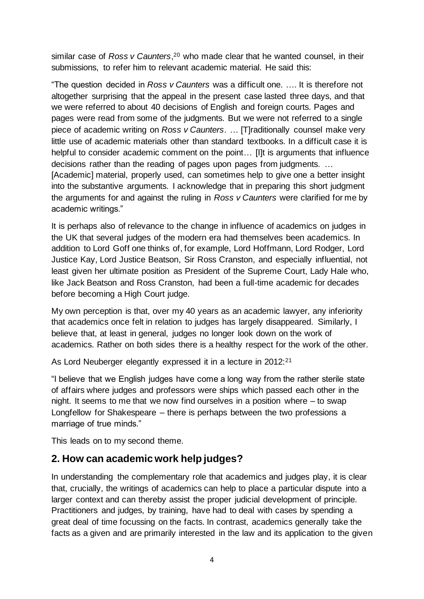similar case of *Ross v Caunters*, 20 who made clear that he wanted counsel, in their submissions, to refer him to relevant academic material. He said this:

 "The question decided in *Ross v Caunters* was a difficult one. …. It is therefore not altogether surprising that the appeal in the present case lasted three days, and that we were referred to about 40 decisions of English and foreign courts. Pages and pages were read from some of the judgments. But we were not referred to a single piece of academic writing on *Ross v Caunters*. … [T]raditionally counsel make very little use of academic materials other than standard textbooks. In a difficult case it is helpful to consider academic comment on the point… [I]t is arguments that influence decisions rather than the reading of pages upon pages from judgments. … [Academic] material, properly used, can sometimes help to give one a better insight into the substantive arguments. I acknowledge that in preparing this short judgment the arguments for and against the ruling in *Ross v Caunters* were clarified for me by academic writings."

 It is perhaps also of relevance to the change in influence of academics on judges in the UK that several judges of the modern era had themselves been academics. In addition to Lord Goff one thinks of, for example, Lord Hoffmann, Lord Rodger, Lord Justice Kay, Lord Justice Beatson, Sir Ross Cranston, and especially influential, not least given her ultimate position as President of the Supreme Court, Lady Hale who, like Jack Beatson and Ross Cranston, had been a full-time academic for decades before becoming a High Court judge.

 My own perception is that, over my 40 years as an academic lawyer, any inferiority that academics once felt in relation to judges has largely disappeared. Similarly, I believe that, at least in general, judges no longer look down on the work of academics. Rather on both sides there is a healthy respect for the work of the other.

As Lord Neuberger elegantly expressed it in a lecture in 2012:21

 "I believe that we English judges have come a long way from the rather sterile state of affairs where judges and professors were ships which passed each other in the night. It seems to me that we now find ourselves in a position where – to swap Longfellow for Shakespeare – there is perhaps between the two professions a marriage of true minds."

This leads on to my second theme.

### **2. How can academic work help judges?**

 In understanding the complementary role that academics and judges play, it is clear that, crucially, the writings of academics can help to place a particular dispute into a larger context and can thereby assist the proper judicial development of principle. Practitioners and judges, by training, have had to deal with cases by spending a great deal of time focussing on the facts. In contrast, academics generally take the facts as a given and are primarily interested in the law and its application to the given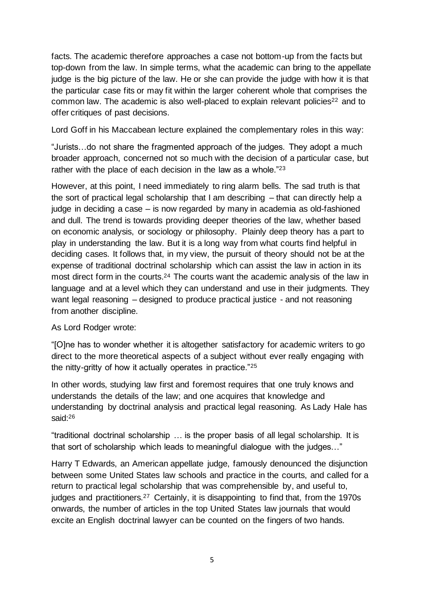facts. The academic therefore approaches a case not bottom-up from the facts but top-down from the law. In simple terms, what the academic can bring to the appellate judge is the big picture of the law. He or she can provide the judge with how it is that the particular case fits or may fit within the larger coherent whole that comprises the common law. The academic is also well-placed to explain relevant policies<sup>22</sup> and to offer critiques of past decisions.

Lord Goff in his Maccabean lecture explained the complementary roles in this way:

 "Jurists…do not share the fragmented approach of the judges. They adopt a much broader approach, concerned not so much with the decision of a particular case, but rather with the place of each decision in the law as a whole."<sup>23</sup>

 However, at this point, I need immediately to ring alarm bells. The sad truth is that the sort of practical legal scholarship that I am describing – that can directly help a judge in deciding a case – is now regarded by many in academia as old-fashioned and dull. The trend is towards providing deeper theories of the law, whether based on economic analysis, or sociology or philosophy. Plainly deep theory has a part to play in understanding the law. But it is a long way from what courts find helpful in deciding cases. It follows that, in my view, the pursuit of theory should not be at the expense of traditional doctrinal scholarship which can assist the law in action in its most direct form in the [courts.](https://courts.24)<sup>24</sup> The courts want the academic analysis of the law in language and at a level which they can understand and use in their judgments. They want legal reasoning – designed to produce practical justice - and not reasoning

from another discipline.<br>As Lord Rodger wrote: As Lord Rodger wrote:

 "[O]ne has to wonder whether it is altogether satisfactory for academic writers to go direct to the more theoretical aspects of a subject without ever really engaging with the nitty-gritty of how it actually operates in practice."25

 In other words, studying law first and foremost requires that one truly knows and understands the details of the law; and one acquires that knowledge and understanding by doctrinal analysis and practical legal reasoning. As Lady Hale has said:26

 "traditional doctrinal scholarship … is the proper basis of all legal scholarship. It is that sort of scholarship which leads to meaningful dialogue with the judges…"

 Harry T Edwards, an American appellate judge, famously denounced the disjunction between some United States law schools and practice in the courts, and called for a return to practical legal scholarship that was comprehensible by, and useful to, judges and practitioners.<sup>27</sup> Certainly, it is disappointing to find that, from the 1970s onwards, the number of articles in the top United States law journals that would excite an English doctrinal lawyer can be counted on the fingers of two hands.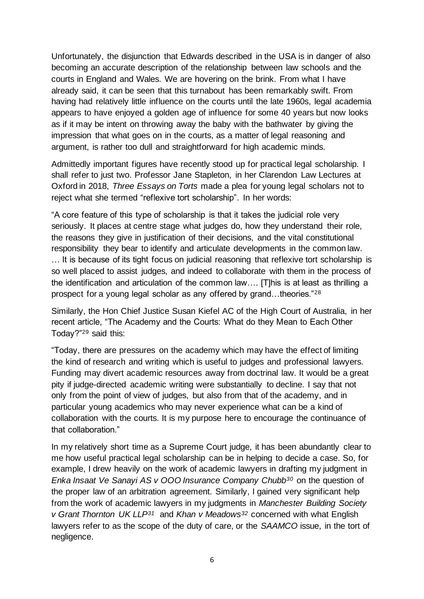Unfortunately, the disjunction that Edwards described in the USA is in danger of also becoming an accurate description of the relationship between law schools and the courts in England and Wales. We are hovering on the brink. From what I have already said, it can be seen that this turnabout has been remarkably swift. From having had relatively little influence on the courts until the late 1960s, legal academia appears to have enjoyed a golden age of influence for some 40 years but now looks as if it may be intent on throwing away the baby with the bathwater by giving the impression that what goes on in the courts, as a matter of legal reasoning and argument, is rather too dull and straightforward for high academic minds.

 Admittedly important figures have recently stood up for practical legal scholarship. I shall refer to just two. Professor Jane Stapleton, in her Clarendon Law Lectures at Oxford in 2018, *Three Essays on Torts* made a plea for young legal scholars not to reject what she termed "reflexive tort scholarship". In her words:

 "A core feature of this type of scholarship is that it takes the judicial role very seriously. It places at centre stage what judges do, how they understand their role, the reasons they give in justification of their decisions, and the vital constitutional responsibility they bear to identify and articulate developments in the common law. … It is because of its tight focus on judicial reasoning that reflexive tort scholarship is so well placed to assist judges, and indeed to collaborate with them in the process of the identification and articulation of the common law…. [T]his is at least as thrilling a prospect for a young legal scholar as any offered by grand...theories."<sup>28</sup>

 Similarly, the Hon Chief Justice Susan Kiefel AC of the High Court of Australia, in her recent article, "The Academy and the Courts: What do they Mean to Each Other Today?"29 said this:

 "Today, there are pressures on the academy which may have the effect of limiting the kind of research and writing which is useful to judges and professional lawyers. Funding may divert academic resources away from doctrinal law. It would be a great pity if judge-directed academic writing were substantially to decline. I say that not only from the point of view of judges, but also from that of the academy, and in particular young academics who may never experience what can be a kind of collaboration with the courts. It is my purpose here to encourage the continuance of that collaboration."

 In my relatively short time as a Supreme Court judge, it has been abundantly clear to me how useful practical legal scholarship can be in helping to decide a case. So, for example, I drew heavily on the work of academic lawyers in drafting my judgment in Enka Insaat Ve Sanayi AS v OOO Insurance Company Chubb<sup>30</sup> on the question of the proper law of an arbitration agreement. Similarly, I gained very significant help from the work of academic lawyers in my judgments in *Manchester Building Society v Grant Thornton UK LLP31* and *Khan v Meadows32* concerned with what English lawyers refer to as the scope of the duty of care, or the *SAAMCO* issue, in the tort of negligence.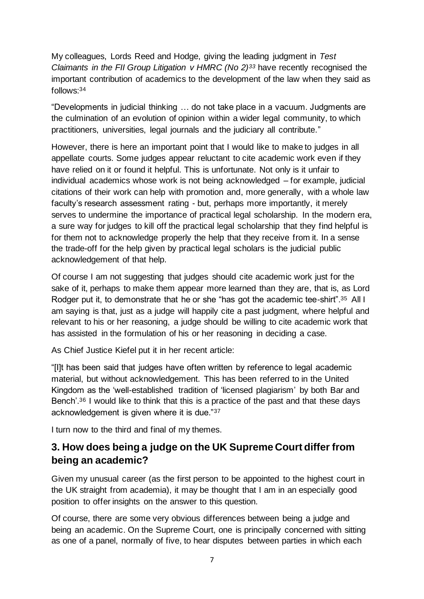My colleagues, Lords Reed and Hodge, giving the leading judgment in *Test Claimants in the FII Group Litigation v HMRC (No 2)<sup>33</sup> have recently recognised the*  important contribution of academics to the development of the law when they said as follows:34

 "Developments in judicial thinking … do not take place in a vacuum. Judgments are the culmination of an evolution of opinion within a wider legal community, to which practitioners, universities, legal journals and the judiciary all contribute."

 However, there is here an important point that I would like to make to judges in all appellate courts. Some judges appear reluctant to cite academic work even if they have relied on it or found it helpful. This is unfortunate. Not only is it unfair to individual academics whose work is not being acknowledged – for example, judicial citations of their work can help with promotion and, more generally, with a whole law faculty's research assessment rating - but, perhaps more importantly, it merely serves to undermine the importance of practical legal scholarship. In the modern era, a sure way for judges to kill off the practical legal scholarship that they find helpful is for them not to acknowledge properly the help that they receive from it. In a sense the trade-off for the help given by practical legal scholars is the judicial public acknowledgement of that help.

 Of course I am not suggesting that judges should cite academic work just for the sake of it, perhaps to make them appear more learned than they are, that is, as Lord Rodger put it, to demonstrate that he or she "has got the academic tee-shirt".<sup>35</sup> All I am saying is that, just as a judge will happily cite a past judgment, where helpful and relevant to his or her reasoning, a judge should be willing to cite academic work that has assisted in the formulation of his or her reasoning in deciding a case.

As Chief Justice Kiefel put it in her recent article:

 "[I]t has been said that judges have often written by reference to legal academic material, but without acknowledgement. This has been referred to in the United Kingdom as the 'well-established tradition of 'licensed plagiarism' by both Bar and Bench'.<sup>36</sup> I would like to think that this is a practice of the past and that these days acknowledgement is given where it is due."37

I turn now to the third and final of my themes.

## **3. How does being a judge on the UK Supreme Court differ from being an academic?**

 Given my unusual career (as the first person to be appointed to the highest court in the UK straight from academia), it may be thought that I am in an especially good position to offer insights on the answer to this question.

 Of course, there are some very obvious differences between being a judge and being an academic. On the Supreme Court, one is principally concerned with sitting as one of a panel, normally of five, to hear disputes between parties in which each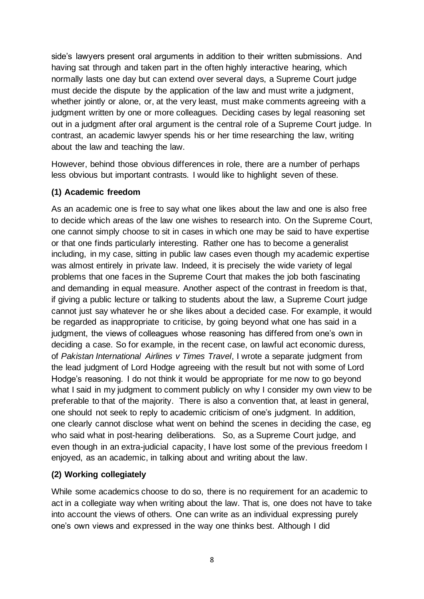side's lawyers present oral arguments in addition to their written submissions. And having sat through and taken part in the often highly interactive hearing, which normally lasts one day but can extend over several days, a Supreme Court judge must decide the dispute by the application of the law and must write a judgment, whether jointly or alone, or, at the very least, must make comments agreeing with a judgment written by one or more colleagues. Deciding cases by legal reasoning set out in a judgment after oral argument is the central role of a Supreme Court judge. In contrast, an academic lawyer spends his or her time researching the law, writing about the law and teaching the law.

 However, behind those obvious differences in role, there are a number of perhaps less obvious but important contrasts. I would like to highlight seven of these.

#### **(1) Academic freedom**

 As an academic one is free to say what one likes about the law and one is also free to decide which areas of the law one wishes to research into. On the Supreme Court, one cannot simply choose to sit in cases in which one may be said to have expertise or that one finds particularly interesting. Rather one has to become a generalist including, in my case, sitting in public law cases even though my academic expertise was almost entirely in private law. Indeed, it is precisely the wide variety of legal problems that one faces in the Supreme Court that makes the job both fascinating and demanding in equal measure. Another aspect of the contrast in freedom is that, if giving a public lecture or talking to students about the law, a Supreme Court judge cannot just say whatever he or she likes about a decided case. For example, it would be regarded as inappropriate to criticise, by going beyond what one has said in a judgment, the views of colleagues whose reasoning has differed from one's own in deciding a case. So for example, in the recent case, on lawful act economic duress,  of *Pakistan International Airlines v Times Travel*, I wrote a separate judgment from the lead judgment of Lord Hodge agreeing with the result but not with some of Lord Hodge's reasoning. I do not think it would be appropriate for me now to go beyond what I said in my judgment to comment publicly on why I consider my own view to be preferable to that of the majority. There is also a convention that, at least in general, one should not seek to reply to academic criticism of one's judgment. In addition, one clearly cannot disclose what went on behind the scenes in deciding the case, eg who said what in post-hearing deliberations. So, as a Supreme Court judge, and even though in an extra-judicial capacity, I have lost some of the previous freedom I enjoyed, as an academic, in talking about and writing about the law.

#### **(2) Working collegiately**

 While some academics choose to do so, there is no requirement for an academic to act in a collegiate way when writing about the law. That is, one does not have to take into account the views of others. One can write as an individual expressing purely one's own views and expressed in the way one thinks best. Although I did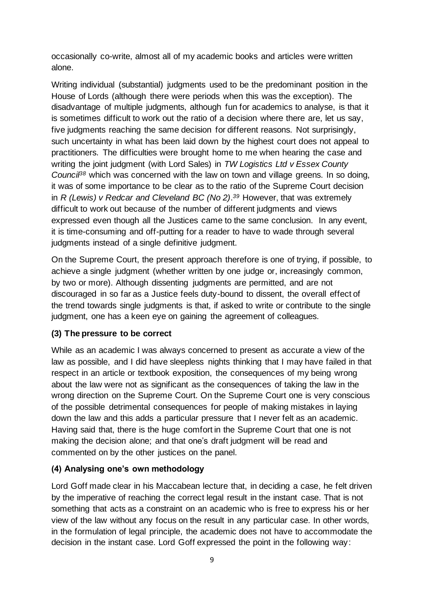occasionally co-write, almost all of my academic books and articles were written alone.

 Writing individual (substantial) judgments used to be the predominant position in the House of Lords (although there were periods when this was the exception). The disadvantage of multiple judgments, although fun for academics to analyse, is that it is sometimes difficult to work out the ratio of a decision where there are, let us say, five judgments reaching the same decision for different reasons. Not surprisingly, such uncertainty in what has been laid down by the highest court does not appeal to practitioners. The difficulties were brought home to me when hearing the case and writing the joint judgment (with Lord Sales) in *TW Logistics Ltd v Essex County Council38* which was concerned with the law on town and village greens. In so doing, it was of some importance to be clear as to the ratio of the Supreme Court decision in *R (Lewis) v Redcar and Cleveland BC (No 2).<sup>39</sup> However, that was extremely*  difficult to work out because of the number of different judgments and views expressed even though all the Justices came to the same conclusion. In any event, it is time-consuming and off-putting for a reader to have to wade through several judgments instead of a single definitive judgment.

 On the Supreme Court, the present approach therefore is one of trying, if possible, to achieve a single judgment (whether written by one judge or, increasingly common, by two or more). Although dissenting judgments are permitted, and are not discouraged in so far as a Justice feels duty-bound to dissent, the overall effect of the trend towards single judgments is that, if asked to write or contribute to the single judgment, one has a keen eye on gaining the agreement of colleagues.

#### **(3) The pressure to be correct**

 While as an academic I was always concerned to present as accurate a view of the law as possible, and I did have sleepless nights thinking that I may have failed in that respect in an article or textbook exposition, the consequences of my being wrong about the law were not as significant as the consequences of taking the law in the wrong direction on the Supreme Court. On the Supreme Court one is very conscious of the possible detrimental consequences for people of making mistakes in laying down the law and this adds a particular pressure that I never felt as an academic. Having said that, there is the huge comfort in the Supreme Court that one is not making the decision alone; and that one's draft judgment will be read and commented on by the other justices on the panel.

#### **(4) Analysing one's own methodology**

 Lord Goff made clear in his Maccabean lecture that, in deciding a case, he felt driven by the imperative of reaching the correct legal result in the instant case. That is not something that acts as a constraint on an academic who is free to express his or her view of the law without any focus on the result in any particular case. In other words, in the formulation of legal principle, the academic does not have to accommodate the decision in the instant case. Lord Goff expressed the point in the following way: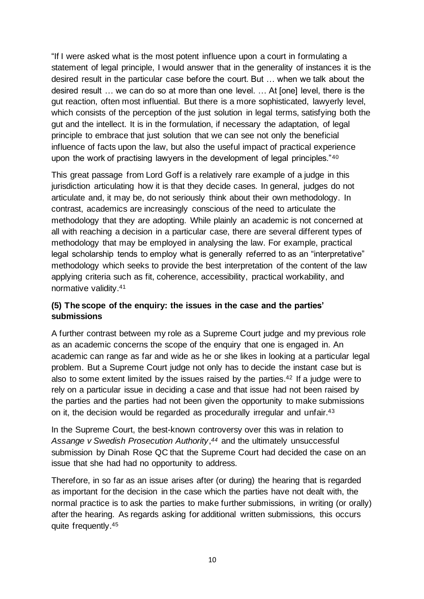"If I were asked what is the most potent influence upon a court in formulating a statement of legal principle, I would answer that in the generality of instances it is the desired result in the particular case before the court. But … when we talk about the desired result … we can do so at more than one level. … At [one] level, there is the gut reaction, often most influential. But there is a more sophisticated, lawyerly level, which consists of the perception of the just solution in legal terms, satisfying both the gut and the intellect. It is in the formulation, if necessary the adaptation, of legal principle to embrace that just solution that we can see not only the beneficial influence of facts upon the law, but also the useful impact of practical experience upon the work of practising lawyers in the development of legal principles."<sup>40</sup>

 This great passage from Lord Goff is a relatively rare example of a judge in this jurisdiction articulating how it is that they decide cases. In general, judges do not articulate and, it may be, do not seriously think about their own methodology. In contrast, academics are increasingly conscious of the need to articulate the methodology that they are adopting. While plainly an academic is not concerned at all with reaching a decision in a particular case, there are several different types of methodology that may be employed in analysing the law. For example, practical legal scholarship tends to employ what is generally referred to as an "interpretative" methodology which seeks to provide the best interpretation of the content of the law applying criteria such as fit, coherence, accessibility, practical workability, and normative [validity.41](https://validity.41)

#### **(5) The scope of the enquiry: the issues in the case and the parties' submissions**

 A further contrast between my role as a Supreme Court judge and my previous role as an academic concerns the scope of the enquiry that one is engaged in. An academic can range as far and wide as he or she likes in looking at a particular legal problem. But a Supreme Court judge not only has to decide the instant case but is also to some extent limited by the issues raised by the parties.<sup>42</sup> If a judge were to rely on a particular issue in deciding a case and that issue had not been raised by the parties and the parties had not been given the opportunity to make submissions on it, the decision would be regarded as procedurally irregular and unfair.<sup>43</sup>

 In the Supreme Court, the best-known controversy over this was in relation to Assange v Swedish Prosecution Authority,<sup>44</sup> and the ultimately unsuccessful submission by Dinah Rose QC that the Supreme Court had decided the case on an issue that she had had no opportunity to address.

 Therefore, in so far as an issue arises after (or during) the hearing that is regarded as important for the decision in the case which the parties have not dealt with, the normal practice is to ask the parties to make further submissions, in writing (or orally) after the hearing. As regards asking for additional written submissions, this occurs quite [frequently.45](https://frequently.45)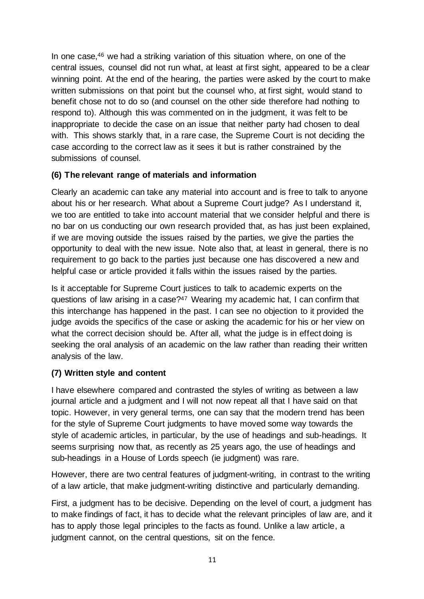In one case,<sup>46</sup> we had a striking variation of this situation where, on one of the central issues, counsel did not run what, at least at first sight, appeared to be a clear winning point. At the end of the hearing, the parties were asked by the court to make written submissions on that point but the counsel who, at first sight, would stand to benefit chose not to do so (and counsel on the other side therefore had nothing to respond to). Although this was commented on in the judgment, it was felt to be inappropriate to decide the case on an issue that neither party had chosen to deal with. This shows starkly that, in a rare case, the Supreme Court is not deciding the case according to the correct law as it sees it but is rather constrained by the submissions of counsel.

#### **(6) The relevant range of materials and information**

 Clearly an academic can take any material into account and is free to talk to anyone about his or her research. What about a Supreme Court judge? As I understand it, we too are entitled to take into account material that we consider helpful and there is no bar on us conducting our own research provided that, as has just been explained, if we are moving outside the issues raised by the parties, we give the parties the opportunity to deal with the new issue. Note also that, at least in general, there is no requirement to go back to the parties just because one has discovered a new and helpful case or article provided it falls within the issues raised by the parties.

 Is it acceptable for Supreme Court justices to talk to academic experts on the questions of law arising in a case?<sup>47</sup> Wearing my academic hat, I can confirm that this interchange has happened in the past. I can see no objection to it provided the judge avoids the specifics of the case or asking the academic for his or her view on what the correct decision should be. After all, what the judge is in effect doing is seeking the oral analysis of an academic on the law rather than reading their written analysis of the law.

#### **(7) Written style and content**

 I have elsewhere compared and contrasted the styles of writing as between a law journal article and a judgment and I will not now repeat all that I have said on that topic. However, in very general terms, one can say that the modern trend has been for the style of Supreme Court judgments to have moved some way towards the style of academic articles, in particular, by the use of headings and sub-headings. It seems surprising now that, as recently as 25 years ago, the use of headings and sub-headings in a House of Lords speech (ie judgment) was rare.

 However, there are two central features of judgment-writing, in contrast to the writing of a law article, that make judgment-writing distinctive and particularly demanding.

 First, a judgment has to be decisive. Depending on the level of court, a judgment has to make findings of fact, it has to decide what the relevant principles of law are, and it has to apply those legal principles to the facts as found. Unlike a law article, a judgment cannot, on the central questions, sit on the fence.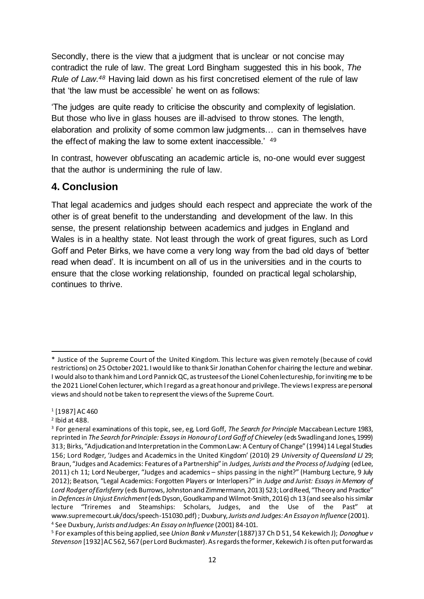Secondly, there is the view that a judgment that is unclear or not concise may contradict the rule of law. The great Lord Bingham suggested this in his book, *The Rule of Law.48* Having laid down as his first concretised element of the rule of law that 'the law must be accessible' he went on as follows:

 'The judges are quite ready to criticise the obscurity and complexity of legislation. But those who live in glass houses are ill-advised to throw stones. The length, elaboration and prolixity of some common law judgments… can in themselves have the effect of making the law to some extent inaccessible.' <sup>49</sup>

 In contrast, however obfuscating an academic article is, no-one would ever suggest that the author is undermining the rule of law.

## **4. Conclusion**

 That legal academics and judges should each respect and appreciate the work of the other is of great benefit to the understanding and development of the law. In this sense, the present relationship between academics and judges in England and Wales is in a healthy state. Not least through the work of great figures, such as Lord Goff and Peter Birks, we have come a very long way from the bad old days of 'better read when dead'. It is incumbent on all of us in the universities and in the courts to ensure that the close working relationship, founded on practical legal scholarship, continues to thrive.

 \* Justice of the Supreme Court of the United Kingdom. This lecture was given remotely (because of covid restrictions) on 25 October 2021. I would like to thank Sir Jonathan Cohenfor chairing the lecture and webinar. I would also to thank him and Lord Pannick QC, as trusteesof the Lionel Cohenlectureship, for inviting me to be the 2021 Lionel Cohen lecturer, which I regard as a great honour and privilege. The views I express are personal views and should not be taken to represent the views of the Supreme Court.

<sup>1 [1987]</sup> AC 460

 $^2$  Ibid at 488.

 3 For general examinations of this topic, see, eg, Lord Goff, *The Search for Principle* Maccabean Lecture 1983, reprinted in *The Search for Principle: Essays in Honour of Lord Goff of Chieveley* (eds Swadlingand Jones, 1999) 313; Birks, "Adjudicationand Interpretation in the CommonLaw: A Century of Change" (1994)14 Legal Studies 156; Lord Rodger, 'Judges and Academics in the United Kingdom' (2010) 29 *University of Queensland LJ* 29; Braun, "Judges and Academics: Features of a Partnership" in *Judges, Jurists and the Process of Judging* (edLee, 2011) ch 11; Lord Neuberger, "Judges and academics – ships passing in the night?" (Hamburg Lecture, 9 July 2012); Beatson, "Legal Academics: Forgotten Players or Interlopers?" in *Judge and Jurist: Essays in Memory of Lord Rodger ofEarlsferry* (eds Burrows, Johnstonand Zimmermann, 2013) 523; LordReed, "Theory and Practice"  in *Defences in Unjust Enrichment* (eds Dyson, Goudkampand Wilmot-Smith, 2016) ch 13(and see also his similar lecture "Triremes and Steamships: Scholars, Judges, and the Use of the Past" at www.supremecourt.uk/docs/speech-151030.pdf); Duxbury, Jurists and Judges: An Essay on Influence (2001). <sup>4</sup> See Duxbury, Jurists and Judges: An Essay on Influence (2001) 84-101. www.supremecourt.uk/docs/speech-151030.pdf) ; Duxbury, Jurists and Judges: An Essay on Influence (2001).<br><sup>4</sup> See Duxbury, Jurists and Judges: An Essay on Influence (2001) 84-101.<br><sup>5</sup> For examples of this being applied, see

 *Stevenson* [1932]AC 562, 567(per Lord Buckmaster). As regards the former, Kekewich J is often put forwardas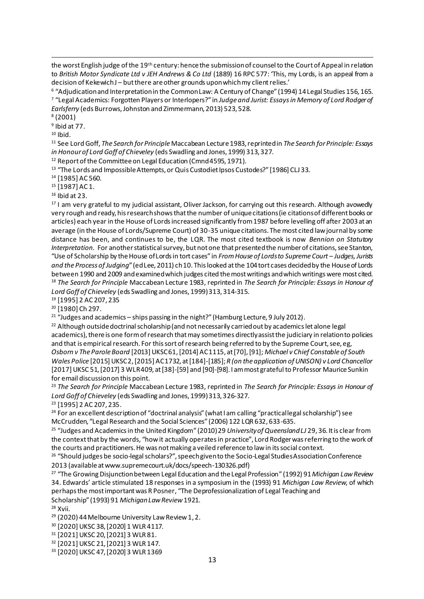the worst English judge of the 19th century: hence the submissionof counsel to the Court of Appeal in relation  to *British Motor Syndicate Ltd v JEH Andrews & Co Ltd* (1889) 16 RPC 577: 'This, my Lords, is an appeal from a decision of KekewichJ – but there are other grounds uponwhichmy client relies.'

 $^{\rm 6}$  "Adjudication and Interpretation in the Common Law: A Century of Change" (1994) 14 Legal Studies 156, 165. <sup>7</sup>"Legal Academics: Forgotten Players or Interlopers?" in *Judge and Jurist: Essays in Memory of Lord Rodger of Earlsferry (*eds Burrows, Johnston and Zimmermann, 2013) 523, 528.<br><sup>8</sup> (2001)

<sup>9</sup> Ibid at 77.

 $10$  Ihid.

 11 See Lord Goff, *The Search for Principle* Maccabean Lecture 1983, reprintedin *The Search for Principle: Essays*  in Honour of Lord Goff of Chieveley (eds Swadling and Jones, 1999) 313, 327.

<sup>12</sup> Report of the Committee on Legal Education (Cmnd 4595, 1971).

*in Honour of Lord Goff of Chieveley (*eds Swadling and Jones, 1999) 313, 327.<br><sup>12</sup> Report of the Committee on Legal Education (Cmnd 4595, 1971).<br><sup>13</sup> "The Lords and Impossible Attempts, or Quis Custodiet Ipsos Custodes?"

<sup>14</sup> [1985] AC 560.<br><sup>15</sup> [1987] AC 1.

 $16$  lbid at 23.

<sup>16</sup> Ibid at 23.<br><sup>17</sup> I am very grateful to my judicial assistant, Oliver Jackson, for carrying out this research. Although avowedly very rough and ready, his researchshows that the number of unique citations(ie citationsof different books or articles) each year in the House of Lords increased significantly from 1987 before levelling off after 2003at an average (in the House of Lords/Supreme Court) of 30-35 unique citations. The most cited law journal by some distance has been, and continues to be, the LQR. The most cited textbook is now *Bennion on Statutory*  Interpretation. For another statistical survey, but not one that presented the number of citations, see Stanton, "Use of Scholarship by the House ofLords in tort cases" in *From House of Lordsto Supreme Court – Judges, Jurists and the Process of Judging"* (edLee, 2011) ch10. This looked at the 104tort cases decidedby the House of Lords between 1990 and 2009 and examined which judges cited the most writings and which writings were most cited. between 1990 and 2009 and examined which judges cited the most writings and which writings were most cited.<br><sup>18</sup> *The Search for Principle M*accabean Lecture 1983, reprinted in *The Search for Principle: Essays in Honour o* Lord Goff of Chieveley (eds Swadling and Jones, 1999) 313, 314-315.

<sup>19</sup> [1995] 2 AC 207, 235<br><sup>20</sup> [1980] Ch 297.

<sup>21</sup> "Judges and academics - ships passing in the night?" (Hamburg Lecture, 9 July 2012).

*Lord Goff of Chieveley (*eds Swadling and Jones, 1999) 313, 314-315.<br><sup>19</sup> [1995] 2 AC 207, 235<br><sup>20</sup> [1980] Ch 297.<br><sup>21</sup> "Judges and academics – ships passing in the night?" (Hamburg Lecture, 9 July 2012).<br><sup>22</sup> Although ou academics), there is one form of research that may sometimes directlyassist the judiciary in relationto policies and that is empirical research. For this sort of research being referred to by the Supreme Court, see, eg,  *Osborn v The Parole Board* [2013] UKSC61, [2014] AC1115, at [70], [91]; *Michael v Chief Constable of South Wales Police* [2015] UKSC2, [2015] AC1732, at [184]-[185]; *R (on the application of UNISON) v Lord Chancellor*  [2017] UKSC 51, [2017] 3 WLR409, at [38]-[59] and [90]-[98]. I am most grateful to Professor Maurice Sunkin for email discussionon this point.

 <sup>23</sup>*The Search for Principle* Maccabean Lecture 1983, reprinted in *The Search for Principle: Essays in Honour of*  Lord Goff of Chieveley (eds Swadling and Jones, 1999) 313, 326-327.

<sup>23</sup> [1995] 2 AC 207, 235.

*Lord Goff of Chieveley (*eds Swadling and Jones, 1999) 313, 326-327.<br><sup>23</sup> [1995] 2 AC 207, 235.<br><sup>24</sup> For an excellent description of "doctrinal analysis" (what I am calling "practical legal scholarship") see McCrudden, "Legal Research and the Social Sciences" (2006) 122 LQR 632, 633-635.

McCrudden, "Legal Research and the Social Sciences" (2006) 122 LQR 632, 633*-*635.<br><sup>25</sup> "Judges and Academics in the United Kingdom" (2010) 29 *University of Queensland LJ* 29, 36. It is clear from the context that by the words, "how it actually operates in practice", Lord Rodger was referring to the work of the courts and practitioners. He was not making a veiled reference to law in its social context. the courts and practitioners. He was not making a veiled reference to law in its social context.<br><sup>26</sup> "Should judges be socio-legal scholars?", speechgivento the Socio-Legal Studies Association Conference

2013 (available at www.supremecourt.uk/docs/speech-130326.pdf)

2013 (available at www.supremecourt.uk/docs/speech-130326.pdf)<br><sup>27</sup> "The Growing Disjunction between Legal Education and the Legal Profession" (1992) 91 *Michigan Law Review*  34. Edwards' article stimulated 18 responses in a symposium in the (1993) 91 *Michigan Law Review*, of which perhaps the most important was R Posner, "The Deprofessionalization of Legal Teaching and Scholarship" (1993) 91 Michigan Law Review 1921.

Scholarship" (1993) 91 *Michigan Law Review* 1921.<br><sup>28</sup> Xvii.<br><sup>29</sup> (2020) 44 Melbourne University Law Review 1, 2.

30 [2020] UKSC 38, [2020] 1 WLR 4117.

31 [2021] UKSC 20, [2021] 3 WLR 81.

<sup>30</sup> [2020] UKSC 38, [2020] 1 WLR 4117.<br><sup>31</sup> [2021] UKSC 20, [2021] 3 WLR 81.<br><sup>32</sup> [2021] UKSC 21, [2021] 3 WLR 147.

33 [2020] UKSC 47, [2020] 3 WLR 1369